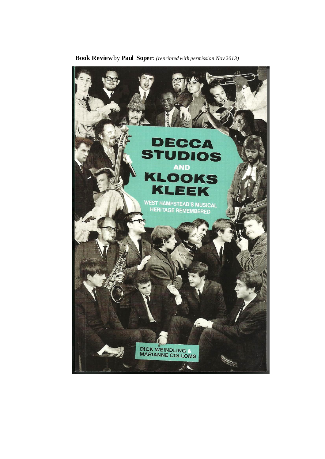

 **Book Review**by **Paul Soper**: *(reprinted with permission Nov 2013)*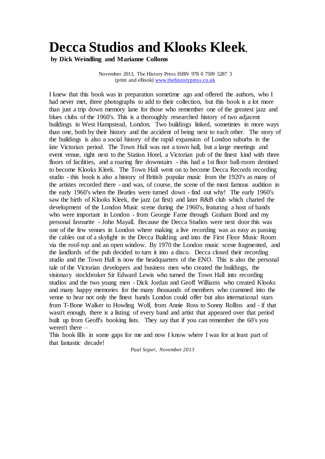## **Decca Studios and Klooks Kleek,**

**by Dick Weindling and Marianne Colloms** 

November 2013, The History Press ISBN 978 0 7509 5287 3 (print and eBook) [www.thehistorypress.co.uk](http://www.thehistorypress.co.uk/)

I knew that this book was in preparation sometime ago and offered the authors, who I had never met, three photographs to add to their collection, but this book is a lot more than just a trip down memory lane for those who remember one of the greatest jazz and blues clubs of the 1960's. This is a thoroughly researched history of two adjacent buildings in West Hampstead, London. Two buildings linked, sometimes in more ways than one, both by their history and the accident of being next to each other. The story of the buildings is also a social history of the rapid expansion of London suburbs in the late Victorian period. The Town Hall was not a town hall, but a large meetings and event venue, right next to the Station Hotel, a Victorian pub of the finest kind with three floors of facilities, and a roaring fire downstairs - this had a 1st floor ball-room destined to become Klooks Kleek. The Town Hall went on to become Decca Records recording studio - this book is also a history of British popular music from the 1920's as many of the artistes recorded there - and was, of course, the scene of the most famous audition in the early 1960's when the Beatles were turned down - find out why! The early 1960's saw the birth of Klooks Kleek, the jazz (at first) and later R&B club which charted the development of the London Music scene during the 1960's, featuring a host of bands who were important in London - from Georgie Fame through Graham Bond and my personal favourite - John Mayall. Because the Decca Studios were next door this was one of the few venues in London where making a live recording was as easy as passing the cables out of a skylight in the Decca Building and into the First Floor Music Room via the roof-top and an open window. By 1970 the London music scene fragmented, and the landlords of the pub decided to turn it into a disco. Decca closed their recording studio and the Town Hall is now the headquarters of the ENO. This is also the personal tale of the Victorian developers and business men who created the buildings, the visionary stockbroker Sir Edward Lewis who turned the Town Hall into recording studios and the two young men - Dick Jordan and Geoff Williams who created Klooks and many happy memories for the many thousands of members who crammed into the venue to hear not only the finest bands London could offer but also international stars from T-Bone Walker to Howling Wolf, from Annie Ross to Sonny Rollins and - if that wasn't enough, there is a listing of every band and artist that appeared over that period built up from Geoff's booking lists. They say that if you can remember the 60's you weren't there –

This book fills in some gaps for me and now I know where I was for at least part of that fantastic decade!

*Paul Soper, November 2013*